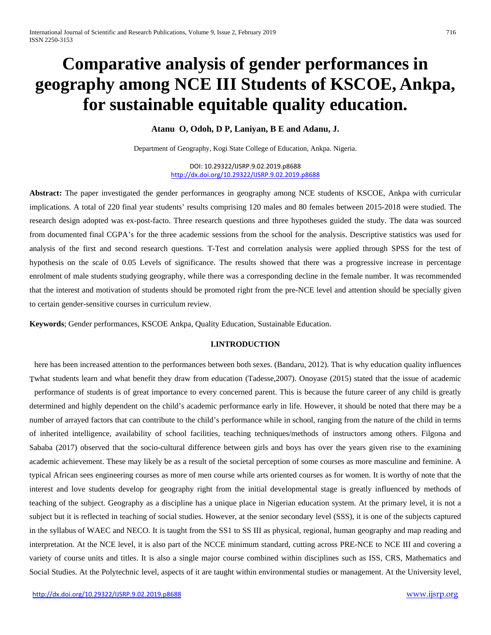# **Comparative analysis of gender performances in geography among NCE III Students of KSCOE, Ankpa, for sustainable equitable quality education.**

**Atanu O, Odoh, D P, Laniyan, B E and Adanu, J.**

Department of Geography, Kogi State College of Education, Ankpa. Nigeria.

DOI: 10.29322/IJSRP.9.02.2019.p8688 <http://dx.doi.org/10.29322/IJSRP.9.02.2019.p8688>

**Abstract:** The paper investigated the gender performances in geography among NCE students of KSCOE, Ankpa with curricular implications. A total of 220 final year students' results comprising 120 males and 80 females between 2015-2018 were studied. The research design adopted was ex-post-facto. Three research questions and three hypotheses guided the study. The data was sourced from documented final CGPA's for the three academic sessions from the school for the analysis. Descriptive statistics was used for analysis of the first and second research questions. T-Test and correlation analysis were applied through SPSS for the test of hypothesis on the scale of 0.05 Levels of significance. The results showed that there was a progressive increase in percentage enrolment of male students studying geography, while there was a corresponding decline in the female number. It was recommended that the interest and motivation of students should be promoted right from the pre-NCE level and attention should be specially given to certain gender-sensitive courses in curriculum review.

**Keywords**; Gender performances, KSCOE Ankpa, Quality Education, Sustainable Education.

# **I.INTRODUCTION**

here has been increased attention to the performances between both sexes. (Bandaru, 2012). That is why education quality influences what students learn and what benefit they draw from education (Tadesse,2007). Onoyase (2015) stated that the issue of academic Tperformance of students is of great importance to every concerned parent. This is because the future career of any child is greatly determined and highly dependent on the child's academic performance early in life. However, it should be noted that there may be a number of arrayed factors that can contribute to the child's performance while in school, ranging from the nature of the child in terms of inherited intelligence, availability of school facilities, teaching techniques/methods of instructors among others. Filgona and Sababa (2017) observed that the socio-cultural difference between girls and boys has over the years given rise to the examining academic achievement. These may likely be as a result of the societal perception of some courses as more masculine and feminine. A typical African sees engineering courses as more of men course while arts oriented courses as for women. It is worthy of note that the interest and love students develop for geography right from the initial developmental stage is greatly influenced by methods of teaching of the subject. Geography as a discipline has a unique place in Nigerian education system. At the primary level, it is not a subject but it is reflected in teaching of social studies. However, at the senior secondary level (SSS), it is one of the subjects captured in the syllabus of WAEC and NECO. It is taught from the SS1 to SS III as physical, regional, human geography and map reading and interpretation. At the NCE level, it is also part of the NCCE minimum standard, cutting across PRE-NCE to NCE III and covering a variety of course units and titles. It is also a single major course combined within disciplines such as ISS, CRS, Mathematics and Social Studies. At the Polytechnic level, aspects of it are taught within environmental studies or management. At the University level,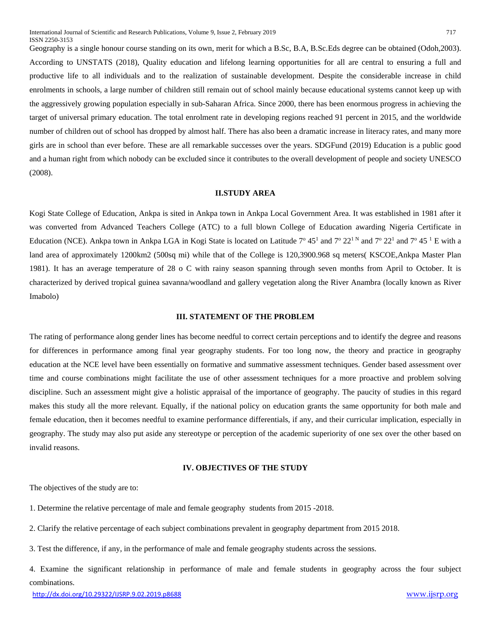Geography is a single honour course standing on its own, merit for which a B.Sc, B.A, B.Sc.Eds degree can be obtained (Odoh,2003). According to UNSTATS (2018), Quality education and lifelong learning opportunities for all are central to ensuring a full and productive life to all individuals and to the realization of sustainable development. Despite the considerable increase in child enrolments in schools, a large number of children still remain out of school mainly because educational systems cannot keep up with the aggressively growing population especially in sub-Saharan Africa. Since 2000, there has been enormous progress in achieving the target of universal primary education. The total enrolment rate in developing regions reached 91 percent in 2015, and the worldwide number of children out of school has dropped by almost half. There has also been a dramatic increase in literacy rates, and many more girls are in school than ever before. These are all remarkable successes over the years. SDGFund (2019) Education is a public good and a human right from which nobody can be excluded since it contributes to the overall development of people and society UNESCO (2008).

#### **II.STUDY AREA**

Kogi State College of Education, Ankpa is sited in Ankpa town in Ankpa Local Government Area. It was established in 1981 after it was converted from Advanced Teachers College (ATC) to a full blown College of Education awarding Nigeria Certificate in Education (NCE). Ankpa town in Ankpa LGA in Kogi State is located on Latitude  $7^{\circ}$  45<sup>1</sup> and  $7^{\circ}$  22<sup>1</sup> and  $7^{\circ}$  22<sup>1</sup> and  $7^{\circ}$  45<sup>1</sup> E with a land area of approximately 1200km2 (500sq mi) while that of the College is 120,3900.968 sq meters( KSCOE,Ankpa Master Plan 1981). It has an average temperature of 28 o C with rainy season spanning through seven months from April to October. It is characterized by derived tropical guinea savanna/woodland and gallery vegetation along the River Anambra (locally known as River Imabolo)

#### **III. STATEMENT OF THE PROBLEM**

The rating of performance along gender lines has become needful to correct certain perceptions and to identify the degree and reasons for differences in performance among final year geography students. For too long now, the theory and practice in geography education at the NCE level have been essentially on formative and summative assessment techniques. Gender based assessment over time and course combinations might facilitate the use of other assessment techniques for a more proactive and problem solving discipline. Such an assessment might give a holistic appraisal of the importance of geography. The paucity of studies in this regard makes this study all the more relevant. Equally, if the national policy on education grants the same opportunity for both male and female education, then it becomes needful to examine performance differentials, if any, and their curricular implication, especially in geography. The study may also put aside any stereotype or perception of the academic superiority of one sex over the other based on invalid reasons.

### **IV. OBJECTIVES OF THE STUDY**

The objectives of the study are to:

- 1. Determine the relative percentage of male and female geography students from 2015 -2018.
- 2. Clarify the relative percentage of each subject combinations prevalent in geography department from 2015 2018.
- 3. Test the difference, if any, in the performance of male and female geography students across the sessions.
- 4. Examine the significant relationship in performance of male and female students in geography across the four subject combinations.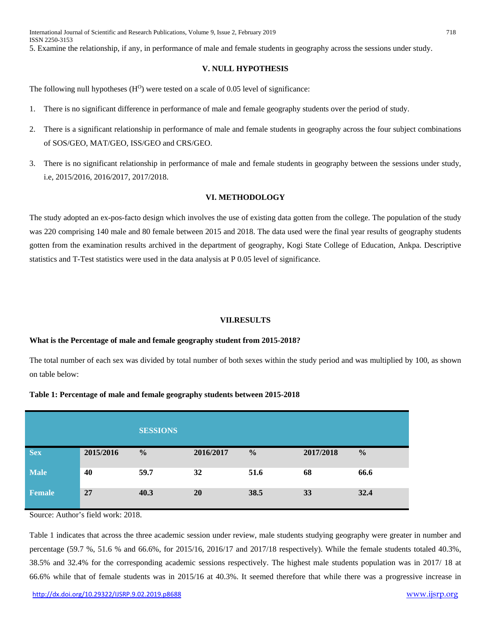5. Examine the relationship, if any, in performance of male and female students in geography across the sessions under study.

#### **V. NULL HYPOTHESIS**

The following null hypotheses  $(H<sup>O</sup>)$  were tested on a scale of 0.05 level of significance:

- 1. There is no significant difference in performance of male and female geography students over the period of study.
- 2. There is a significant relationship in performance of male and female students in geography across the four subject combinations of SOS/GEO, MAT/GEO, ISS/GEO and CRS/GEO.
- 3. There is no significant relationship in performance of male and female students in geography between the sessions under study, i.e, 2015/2016, 2016/2017, 2017/2018.

## **VI. METHODOLOGY**

The study adopted an ex-pos-facto design which involves the use of existing data gotten from the college. The population of the study was 220 comprising 140 male and 80 female between 2015 and 2018. The data used were the final year results of geography students gotten from the examination results archived in the department of geography, Kogi State College of Education, Ankpa. Descriptive statistics and T-Test statistics were used in the data analysis at P 0.05 level of significance.

#### **VII.RESULTS**

#### **What is the Percentage of male and female geography student from 2015-2018?**

The total number of each sex was divided by total number of both sexes within the study period and was multiplied by 100, as shown on table below:

#### **Table 1: Percentage of male and female geography students between 2015-2018**

|               |           | <b>SESSIONS</b> |           |               |           |               |
|---------------|-----------|-----------------|-----------|---------------|-----------|---------------|
| <b>Sex</b>    | 2015/2016 | $\frac{0}{0}$   | 2016/2017 | $\frac{0}{0}$ | 2017/2018 | $\frac{0}{0}$ |
| <b>Male</b>   | 40        | 59.7            | 32        | 51.6          | 68        | 66.6          |
| <b>Female</b> | 27        | 40.3            | <b>20</b> | 38.5          | 33        | 32.4          |

Source: Author's field work: 2018.

Table 1 indicates that across the three academic session under review, male students studying geography were greater in number and percentage (59.7 %, 51.6 % and 66.6%, for 2015/16, 2016/17 and 2017/18 respectively). While the female students totaled 40.3%, 38.5% and 32.4% for the corresponding academic sessions respectively. The highest male students population was in 2017/ 18 at 66.6% while that of female students was in 2015/16 at 40.3%. It seemed therefore that while there was a progressive increase in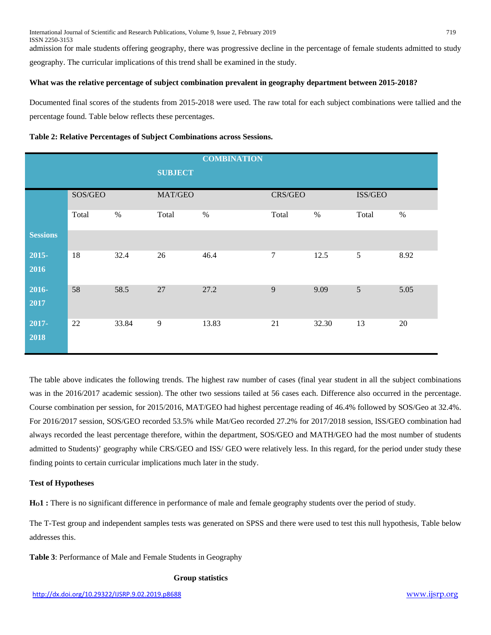admission for male students offering geography, there was progressive decline in the percentage of female students admitted to study geography. The curricular implications of this trend shall be examined in the study.

# **What was the relative percentage of subject combination prevalent in geography department between 2015-2018?**

Documented final scores of the students from 2015-2018 were used. The raw total for each subject combinations were tallied and the percentage found. Table below reflects these percentages.

# **Table 2: Relative Percentages of Subject Combinations across Sessions.**

|                 |         |       |                | <b>COMBINATION</b> |         |       |         |      |
|-----------------|---------|-------|----------------|--------------------|---------|-------|---------|------|
|                 |         |       | <b>SUBJECT</b> |                    |         |       |         |      |
|                 | SOS/GEO |       | MAT/GEO        |                    | CRS/GEO |       | ISS/GEO |      |
|                 | Total   | $\%$  | Total          | $\%$               | Total   | $\%$  | Total   | $\%$ |
| <b>Sessions</b> |         |       |                |                    |         |       |         |      |
| 2015-<br>2016   | 18      | 32.4  | 26             | 46.4               | $\tau$  | 12.5  | 5       | 8.92 |
| $2016-$<br>2017 | 58      | 58.5  | 27             | 27.2               | 9       | 9.09  | 5       | 5.05 |
| 2017-<br>2018   | 22      | 33.84 | 9              | 13.83              | 21      | 32.30 | 13      | 20   |

The table above indicates the following trends. The highest raw number of cases (final year student in all the subject combinations was in the 2016/2017 academic session). The other two sessions tailed at 56 cases each. Difference also occurred in the percentage. Course combination per session, for 2015/2016, MAT/GEO had highest percentage reading of 46.4% followed by SOS/Geo at 32.4%. For 2016/2017 session, SOS/GEO recorded 53.5% while Mat/Geo recorded 27.2% for 2017/2018 session, lSS/GEO combination had always recorded the least percentage therefore, within the department, SOS/GEO and MATH/GEO had the most number of students admitted to Students)' geography while CRS/GEO and ISS/ GEO were relatively less. In this regard, for the period under study these finding points to certain curricular implications much later in the study.

# **Test of Hypotheses**

**HO1 :** There is no significant difference in performance of male and female geography students over the period of study.

The T-Test group and independent samples tests was generated on SPSS and there were used to test this null hypothesis, Table below addresses this.

**Table 3**: Performance of Male and Female Students in Geography

# **Group statistics**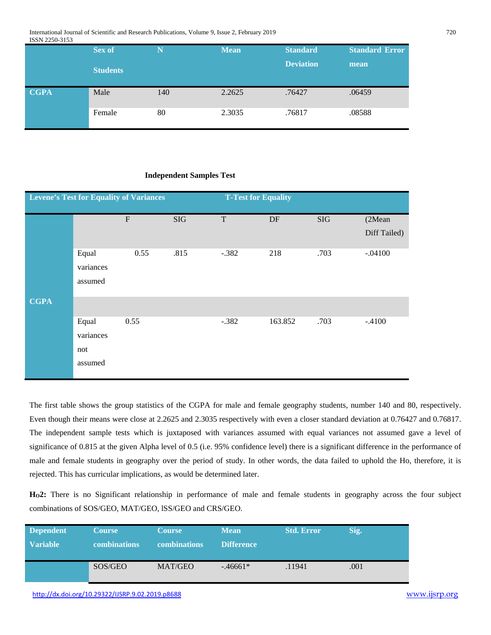International Journal of Scientific and Research Publications, Volume 9, Issue 2, February 2019 720 ISSN 2250-3153

|             | Sex of          | N   | <b>Mean</b> | <b>Standard</b>  | <b>Standard Error</b> |
|-------------|-----------------|-----|-------------|------------------|-----------------------|
|             | <b>Students</b> |     |             | <b>Deviation</b> | mean                  |
| <b>CGPA</b> | Male            | 140 | 2.2625      | .76427           | .06459                |
|             | Female          | 80  | 2.3035      | .76817           | .08588                |

#### **Independent Samples Test**

|             | <b>Levene's Test for Equality of Variances</b> |                           |            | <b>T-Test for Equality</b> |         |           |              |
|-------------|------------------------------------------------|---------------------------|------------|----------------------------|---------|-----------|--------------|
|             |                                                | $\boldsymbol{\mathrm{F}}$ | <b>SIG</b> | $\mathbf T$                | DF      | $\rm SIG$ | (2Mean       |
|             |                                                |                           |            |                            |         |           | Diff Tailed) |
|             | Equal                                          | 0.55                      | .815       | $-.382$                    | 218     | .703      | $-.04100$    |
|             | variances                                      |                           |            |                            |         |           |              |
|             | assumed                                        |                           |            |                            |         |           |              |
| <b>CGPA</b> |                                                |                           |            |                            |         |           |              |
|             | Equal                                          | 0.55                      |            | $-.382$                    | 163.852 | .703      | $-.4100$     |
|             | variances                                      |                           |            |                            |         |           |              |
|             | not                                            |                           |            |                            |         |           |              |
|             | assumed                                        |                           |            |                            |         |           |              |
|             |                                                |                           |            |                            |         |           |              |

The first table shows the group statistics of the CGPA for male and female geography students, number 140 and 80, respectively. Even though their means were close at 2.2625 and 2.3035 respectively with even a closer standard deviation at 0.76427 and 0.76817. The independent sample tests which is juxtaposed with variances assumed with equal variances not assumed gave a level of significance of 0.815 at the given Alpha level of 0.5 (i.e. 95% confidence level) there is a significant difference in the performance of male and female students in geography over the period of study. In other words, the data failed to uphold the Ho, therefore, it is rejected. This has curricular implications, as would be determined later.

**HO2:** There is no Significant relationship in performance of male and female students in geography across the four subject combinations of SOS/GEO, MAT/GEO, lSS/GEO and CRS/GEO.

| <b>Dependent</b> | <b>Course</b>       | <b>Course</b> | <b>Mean</b>       | <b>Std. Error</b> | Sig. |
|------------------|---------------------|---------------|-------------------|-------------------|------|
| <b>Variable</b>  | <b>combinations</b> | combinations  | <b>Difference</b> |                   |      |
|                  | SOS/GEO             | MAT/GEO       | $-46661*$         | .11941            | .001 |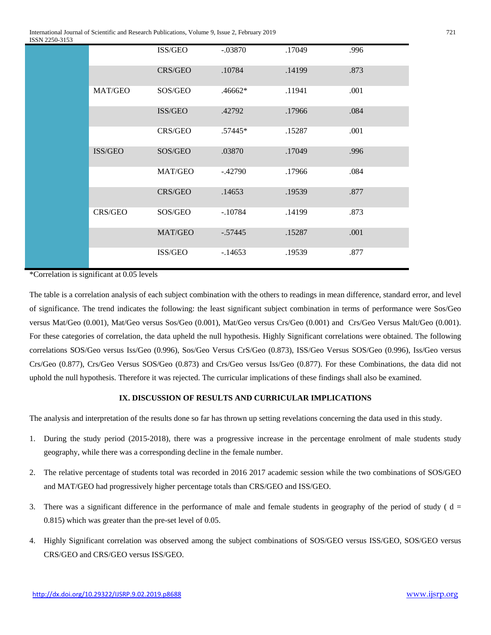International Journal of Scientific and Research Publications, Volume 9, Issue 2, February 2019 721 ISSN 2250-3153

| 22JU-JIJJ |         |         |           |        |      |
|-----------|---------|---------|-----------|--------|------|
|           |         | ISS/GEO | $-.03870$ | .17049 | .996 |
|           |         | CRS/GEO | .10784    | .14199 | .873 |
|           | MAT/GEO | SOS/GEO | $.46662*$ | .11941 | .001 |
|           |         | ISS/GEO | .42792    | .17966 | .084 |
|           |         | CRS/GEO | .57445*   | .15287 | .001 |
|           | ISS/GEO | SOS/GEO | .03870    | .17049 | .996 |
|           |         | MAT/GEO | $-.42790$ | .17966 | .084 |
|           |         | CRS/GEO | .14653    | .19539 | .877 |
|           | CRS/GEO | SOS/GEO | $-.10784$ | .14199 | .873 |
|           |         | MAT/GEO | $-.57445$ | .15287 | .001 |
|           |         | ISS/GEO | $-14653$  | .19539 | .877 |

\*Correlation is significant at 0.05 levels

The table is a correlation analysis of each subject combination with the others to readings in mean difference, standard error, and level of significance. The trend indicates the following: the least significant subject combination in terms of performance were Sos/Geo versus Mat/Geo (0.001), Mat/Geo versus Sos/Geo (0.001), Mat/Geo versus Crs/Geo (0.001) and Crs/Geo Versus Malt/Geo (0.001). For these categories of correlation, the data upheld the null hypothesis. Highly Significant correlations were obtained. The following correlations SOS/Geo versus Iss/Geo (0.996), Sos/Geo Versus CrS/Geo (0.873), ISS/Geo Versus SOS/Geo (0.996), Iss/Geo versus Crs/Geo (0.877), Crs/Geo Versus SOS/Geo (0.873) and Crs/Geo versus Iss/Geo (0.877). For these Combinations, the data did not uphold the null hypothesis. Therefore it was rejected. The curricular implications of these findings shall also be examined.

#### **IX. DISCUSSION OF RESULTS AND CURRICULAR IMPLICATIONS**

The analysis and interpretation of the results done so far has thrown up setting revelations concerning the data used in this study.

- 1. During the study period (2015-2018), there was a progressive increase in the percentage enrolment of male students study geography, while there was a corresponding decline in the female number.
- 2. The relative percentage of students total was recorded in 2016 2017 academic session while the two combinations of SOS/GEO and MAT/GEO had progressively higher percentage totals than CRS/GEO and ISS/GEO.
- 3. There was a significant difference in the performance of male and female students in geography of the period of study ( $d =$ 0.815) which was greater than the pre-set level of 0.05.
- 4. Highly Significant correlation was observed among the subject combinations of SOS/GEO versus ISS/GEO, SOS/GEO versus CRS/GEO and CRS/GEO versus ISS/GEO.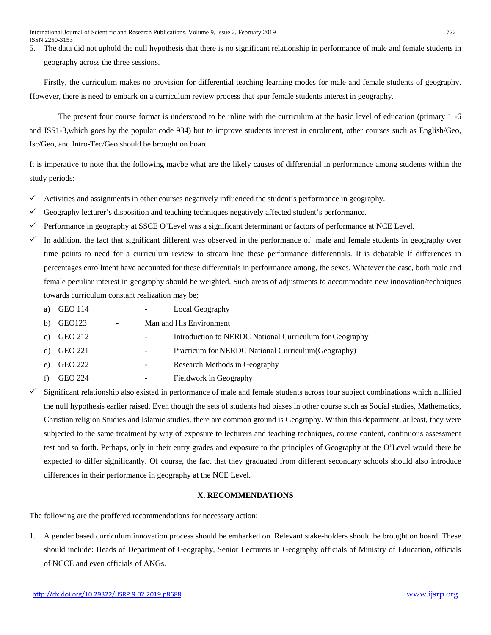5. The data did not uphold the null hypothesis that there is no significant relationship in performance of male and female students in geography across the three sessions.

Firstly, the curriculum makes no provision for differential teaching learning modes for male and female students of geography. However, there is need to embark on a curriculum review process that spur female students interest in geography.

The present four course format is understood to be inline with the curriculum at the basic level of education (primary 1 -6 and JSS1-3,which goes by the popular code 934) but to improve students interest in enrolment, other courses such as English/Geo, Isc/Geo, and Intro-Tec/Geo should be brought on board.

It is imperative to note that the following maybe what are the likely causes of differential in performance among students within the study periods:

- $\checkmark$  Activities and assignments in other courses negatively influenced the student's performance in geography.
- Geography lecturer's disposition and teaching techniques negatively affected student's performance.
- Performance in geography at SSCE O'Level was a significant determinant or factors of performance at NCE Level.
- In addition, the fact that significant different was observed in the performance of male and female students in geography over time points to need for a curriculum review to stream line these performance differentials. It is debatable lf differences in percentages enrollment have accounted for these differentials in performance among, the sexes. Whatever the case, both male and female peculiar interest in geography should be weighted. Such areas of adjustments to accommodate new innovation/techniques towards curriculum constant realization may be;
	- a) GEO 114 Local Geography
	- b) GEO123 Man and His Environment
	- c) GEO 212 Introduction to NERDC National Curriculum for Geography
	- d) GEO 221 Practicum for NERDC National Curriculum(Geography)
	- e) GEO 222 Research Methods in Geography
	- f) GEO 224 Fieldwork in Geography
- Significant relationship also existed in performance of male and female students across four subject combinations which nullified the null hypothesis earlier raised. Even though the sets of students had biases in other course such as Social studies, Mathematics, Christian religion Studies and Islamic studies, there are common ground is Geography. Within this department, at least, they were subjected to the same treatment by way of exposure to lecturers and teaching techniques, course content, continuous assessment test and so forth. Perhaps, only in their entry grades and exposure to the principles of Geography at the O'Level would there be expected to differ significantly. Of course, the fact that they graduated from different secondary schools should also introduce differences in their performance in geography at the NCE Level.

# **X. RECOMMENDATIONS**

The following are the proffered recommendations for necessary action:

1. A gender based curriculum innovation process should be embarked on. Relevant stake-holders should be brought on board. These should include: Heads of Department of Geography, Senior Lecturers in Geography officials of Ministry of Education, officials of NCCE and even officials of ANGs.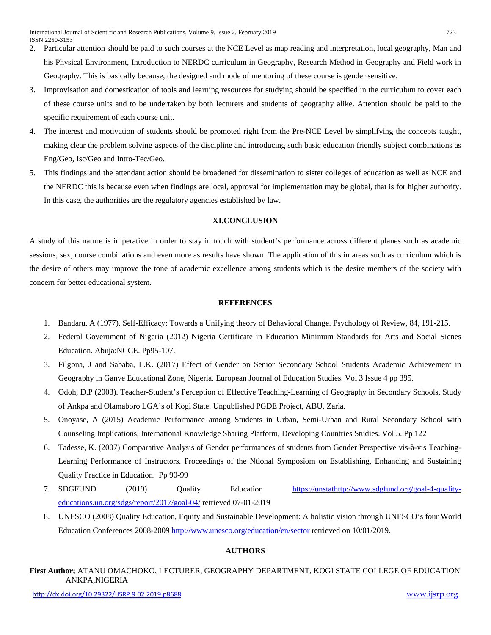- 2. Particular attention should be paid to such courses at the NCE Level as map reading and interpretation, local geography, Man and his Physical Environment, Introduction to NERDC curriculum in Geography, Research Method in Geography and Field work in Geography. This is basically because, the designed and mode of mentoring of these course is gender sensitive.
- 3. Improvisation and domestication of tools and learning resources for studying should be specified in the curriculum to cover each of these course units and to be undertaken by both lecturers and students of geography alike. Attention should be paid to the specific requirement of each course unit.
- 4. The interest and motivation of students should be promoted right from the Pre-NCE Level by simplifying the concepts taught, making clear the problem solving aspects of the discipline and introducing such basic education friendly subject combinations as Eng/Geo, Isc/Geo and Intro-Tec/Geo.
- 5. This findings and the attendant action should be broadened for dissemination to sister colleges of education as well as NCE and the NERDC this is because even when findings are local, approval for implementation may be global, that is for higher authority. In this case, the authorities are the regulatory agencies established by law.

# **XI.CONCLUSION**

A study of this nature is imperative in order to stay in touch with student's performance across different planes such as academic sessions, sex, course combinations and even more as results have shown. The application of this in areas such as curriculum which is the desire of others may improve the tone of academic excellence among students which is the desire members of the society with concern for better educational system.

#### **REFERENCES**

- 1. Bandaru, A (1977). Self-Efficacy: Towards a Unifying theory of Behavioral Change. Psychology of Review, 84, 191-215.
- 2. Federal Government of Nigeria (2012) Nigeria Certificate in Education Minimum Standards for Arts and Social Sicnes Education. Abuja:NCCE. Pp95-107.
- 3. Filgona, J and Sababa, L.K. (2017) Effect of Gender on Senior Secondary School Students Academic Achievement in Geography in Ganye Educational Zone, Nigeria. European Journal of Education Studies. Vol 3 Issue 4 pp 395.
- 4. Odoh, D.P (2003). Teacher-Student's Perception of Effective Teaching-Learning of Geography in Secondary Schools, Study of Ankpa and Olamaboro LGA's of Kogi State. Unpublished PGDE Project, ABU, Zaria.
- 5. Onoyase, A (2015) Academic Performance among Students in Urban, Semi-Urban and Rural Secondary School with Counseling Implications, International Knowledge Sharing Platform, Developing Countries Studies. Vol 5. Pp 122
- 6. Tadesse, K. (2007) Comparative Analysis of Gender performances of students from Gender Perspective vis-à-vis Teaching-Learning Performance of Instructors. Proceedings of the Ntional Symposiom on Establishing, Enhancing and Sustaining Quality Practice in Education. Pp 90-99
- 7. SDGFUND (2019) Quality Education [https://unstathttp://www.sdgfund.org/goal-4-quality](https://unstats.un.org/sdgs/report/2017/goal-04/)[educations.un.org/sdgs/report/2017/goal-04/](https://unstats.un.org/sdgs/report/2017/goal-04/) retrieved 07-01-2019
- 8. UNESCO (2008) Quality Education, Equity and Sustainable Development: A holistic vision through UNESCO's four World Education Conferences 2008-2009<http://www.unesco.org/education/en/sector> retrieved on 10/01/2019.

# **AUTHORS**

**First Author;** ATANU OMACHOKO, LECTURER, GEOGRAPHY DEPARTMENT, KOGI STATE COLLEGE OF EDUCATION ANKPA,NIGERIA